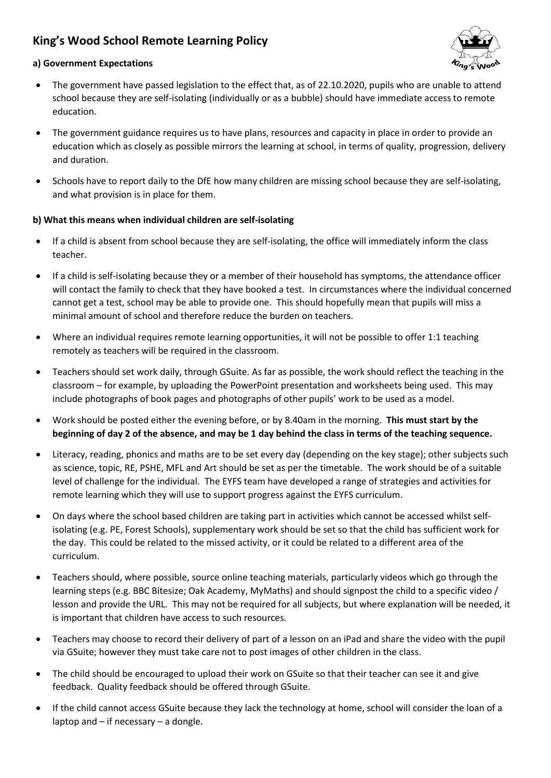## **King's Wood School Remote Learning Policy**



## **a) Government Expectations**

- The government have passed legislation to the effect that, as of 22.10.2020, pupils who are unable to attend school because they are self-isolating (individually or as a bubble) should have immediate access to remote education.
- The government guidance requires us to have plans, resources and capacity in place in order to provide an education which as closely as possible mirrors the learning at school, in terms of quality, progression, delivery and duration.
- Schools have to report daily to the DfE how many children are missing school because they are self-isolating, and what provision is in place for them.

## **b) What this means when individual children are self-isolating**

- If a child is absent from school because they are self-isolating, the office will immediately inform the class teacher.
- If a child is self-isolating because they or a member of their household has symptoms, the attendance officer will contact the family to check that they have booked a test. In circumstances where the individual concerned cannot get a test, school may be able to provide one. This should hopefully mean that pupils will miss a minimal amount of school and therefore reduce the burden on teachers.
- Where an individual requires remote learning opportunities, it will not be possible to offer 1:1 teaching remotely as teachers will be required in the classroom.
- Teachers should set work daily, through GSuite. As far as possible, the work should reflect the teaching in the classroom – for example, by uploading the PowerPoint presentation and worksheets being used. This may include photographs of book pages and photographs of other pupils' work to be used as a model.
- Work should be posted either the evening before, or by 8.40am in the morning. **This must start by the beginning of day 2 of the absence, and may be 1 day behind the class in terms of the teaching sequence.**
- Literacy, reading, phonics and maths are to be set every day (depending on the key stage); other subjects such as science, topic, RE, PSHE, MFL and Art should be set as per the timetable. The work should be of a suitable level of challenge for the individual. The EYFS team have developed a range of strategies and activities for remote learning which they will use to support progress against the EYFS curriculum.
- On days where the school based children are taking part in activities which cannot be accessed whilst selfisolating (e.g. PE, Forest Schools), supplementary work should be set so that the child has sufficient work for the day. This could be related to the missed activity, or it could be related to a different area of the curriculum.
- Teachers should, where possible, source online teaching materials, particularly videos which go through the learning steps (e.g. BBC Bitesize; Oak Academy, MyMaths) and should signpost the child to a specific video / lesson and provide the URL. This may not be required for all subjects, but where explanation will be needed, it is important that children have access to such resources.
- Teachers may choose to record their delivery of part of a lesson on an iPad and share the video with the pupil via GSuite; however they must take care not to post images of other children in the class.
- The child should be encouraged to upload their work on GSuite so that their teacher can see it and give feedback. Quality feedback should be offered through GSuite.
- If the child cannot access GSuite because they lack the technology at home, school will consider the loan of a laptop and – if necessary – a dongle.